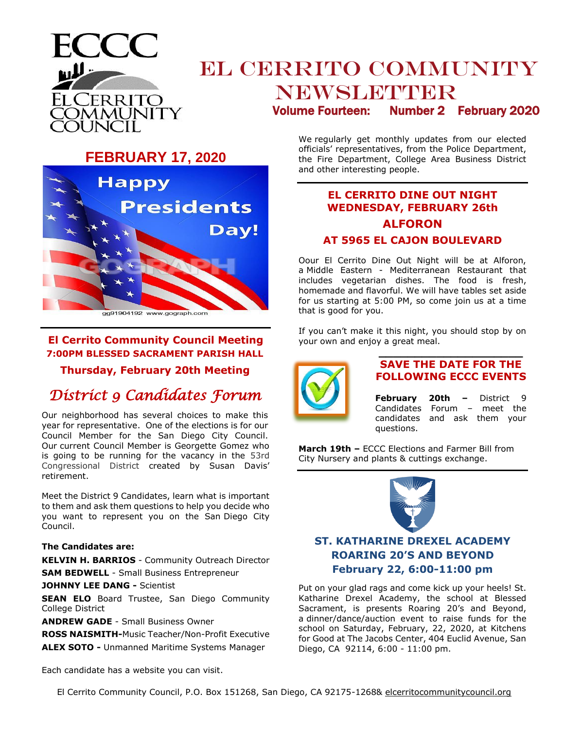

# **EL CERRITO COMMUNITY** NEWSLETTER Volume Fourteen: Number 2 February 2020

**FEBRUARY 17, 2020**



gg91904192 www.gograph.com

## **El Cerrito Community Council Meeting 7:00PM BLESSED SACRAMENT PARISH HALL**

**Thursday, February 20th Meeting**

## *District 9 Candidates Forum*

Our neighborhood has several choices to make this year for representative. One of the elections is for our Council Member for the San Diego City Council. Our current Council Member is Georgette Gomez who is going to be running for the vacancy in the 53rd Congressional District created by Susan Davis' retirement.

Meet the District 9 Candidates, learn what is important to them and ask them questions to help you decide who you want to represent you on the San Diego City Council.

#### **The Candidates are:**

**KELVIN H. BARRIOS** - Community Outreach Director **SAM BEDWELL** - Small Business Entrepreneur

#### **JOHNNY LEE DANG -** Scientist

**SEAN ELO** Board Trustee, San Diego Community College District

**ANDREW GADE** - Small Business Owner

**ROSS NAISMITH-**Music Teacher/Non-Profit Executive **ALEX SOTO -** Unmanned Maritime Systems Manager

Each candidate has a website you can visit.

We regularly get monthly updates from our elected officials' representatives, from the Police Department, the Fire Department, College Area Business District and other interesting people.

## **EL CERRITO DINE OUT NIGHT WEDNESDAY, FEBRUARY 26th ALFORON AT 5965 EL CAJON BOULEVARD**

Oour El Cerrito Dine Out Night will be at Alforon, a Middle Eastern - Mediterranean Restaurant that includes vegetarian dishes. The food is fresh, homemade and flavorful. We will have tables set aside for us starting at 5:00 PM, so come join us at a time that is good for you.

If you can't make it this night, you should stop by on your own and enjoy a great meal.



#### **\_\_\_\_\_\_\_\_\_\_\_\_\_\_\_\_\_\_\_\_ SAVE THE DATE FOR THE FOLLOWING ECCC EVENTS**

**February 20th –** District 9 Candidates Forum – meet the candidates and ask them your questions.

**March 19th –** ECCC Elections and Farmer Bill from City Nursery and plants & cuttings exchange.



## **ST. KATHARINE DREXEL ACADEMY ROARING 20'S AND BEYOND February 22, 6:00-11:00 pm**

Put on your glad rags and come kick up your heels! St. Katharine Drexel Academy, the school at Blessed Sacrament, is presents Roaring 20's and Beyond, a dinner/dance/auction event to raise funds for the school on Saturday, February, 22, 2020, at Kitchens for Good at The Jacobs Center, 404 Euclid Avenue, San Diego, CA 92114, 6:00 - 11:00 pm.

El Cerrito Community Council, P.O. Box 151268, San Diego, CA 92175-1268& elcerritocommunitycouncil.org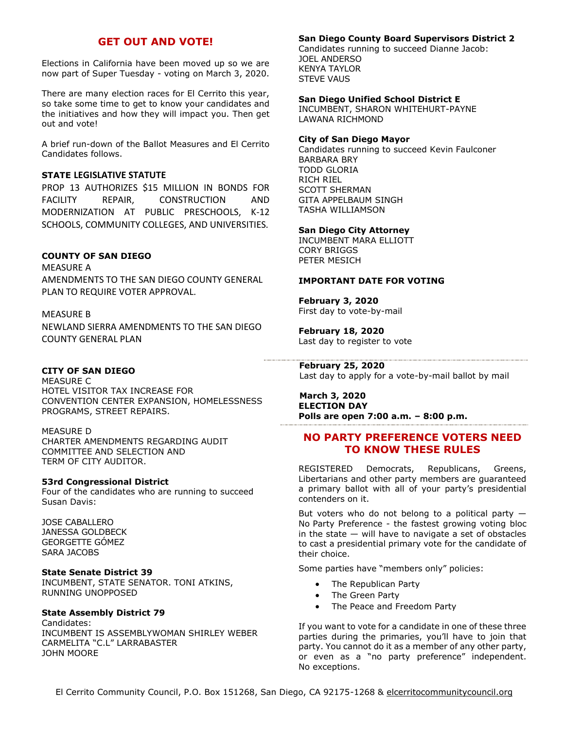### **GET OUT AND VOTE!**

Elections in California have been moved up so we are now part of Super Tuesday - voting on March 3, 2020.

There are many election races for El Cerrito this year, so take some time to get to know your candidates and the initiatives and how they will impact you. Then get out and vote!

A brief run-down of the Ballot Measures and El Cerrito Candidates follows.

#### **STATE LEGISLATIVE STATUTE**

PROP 13 AUTHORIZES \$15 MILLION IN BONDS FOR FACILITY REPAIR, CONSTRUCTION AND MODERNIZATION AT PUBLIC PRESCHOOLS, K-12 SCHOOLS, COMMUNITY COLLEGES, AND UNIVERSITIES.

#### **COUNTY OF SAN DIEGO**

MEASURE A AMENDMENTS TO THE SAN DIEGO COUNTY GENERAL PLAN TO REQUIRE VOTER APPROVAL.

#### MEASURE B

NEWLAND SIERRA AMENDMENTS TO THE SAN DIEGO COUNTY GENERAL PLAN

#### **CITY OF SAN DIEGO**

MEASURE C HOTEL VISITOR TAX INCREASE FOR CONVENTION CENTER EXPANSION, HOMELESSNESS PROGRAMS, STREET REPAIRS.

#### MEASURE D

CHARTER AMENDMENTS REGARDING AUDIT COMMITTEE AND SELECTION AND TERM OF CITY AUDITOR.

#### **53rd Congressional District**

Four of the candidates who are running to succeed Susan Davis:

JOSE CABALLERO JANESSA GOLDBECK GEORGETTE GÓMEZ SARA JACOBS

#### **State Senate District 39**

INCUMBENT, STATE SENATOR. TONI ATKINS, RUNNING UNOPPOSED

#### **State Assembly District 79**

Candidates: INCUMBENT IS ASSEMBLYWOMAN SHIRLEY WEBER CARMELITA "C.L" LARRABASTER JOHN MOORE

#### **San Diego County Board Supervisors District 2**

Candidates running to succeed Dianne Jacob: JOEL ANDERSO KENYA TAYLOR STEVE VAUS

#### **San Diego Unified School District E**

INCUMBENT, SHARON WHITEHURT-PAYNE LAWANA RICHMOND

#### **City of San Diego Mayor**

Candidates running to succeed Kevin Faulconer [BARBARA BRY](https://barbarabry.com/) [TODD GLORIA](http://toddgloria.com/) [RICH RIEL](http://toddgloria.com/) SCOTT SHERMAN [GITA APPELBAUM](https://www.rungitarun.com/) SINGH [TASHA WILLIAMSON](https://www.tasha4mayor.com/)

#### **San Diego City Attorney**

INCUMBENT [MARA ELLIOTT](http://www.maraelliott.com/) [CORY BRIGGS](https://corybriggs.com/) PETER MESICH

#### **IMPORTANT DATE FOR VOTING**

**February 3, 2020** First day to vote-by-mail

**February 18, 2020** Last day to register to vote

 **February 25, 2020** Last day to apply for a vote-by-mail ballot by mail

#### **March 3, 2020 ELECTION DAY Polls are open 7:00 a.m. – 8:00 p.m.**

#### **NO PARTY PREFERENCE VOTERS NEED TO KNOW THESE RULES**

REGISTERED Democrats, Republicans, Greens, Libertarians and other party members are guaranteed a primary ballot with all of your party's presidential contenders on it.

But voters who do not belong to a political party  $-$ No Party Preference - the fastest growing voting bloc in the state  $-$  will have to navigate a set of obstacles to cast a presidential primary vote for the candidate of their choice.

Some parties have "members only" policies:

- The Republican Party
- The Green Party
- The Peace and Freedom Party

If you want to vote for a candidate in one of these three parties during the primaries, you'll have to join that party. You cannot do it as a member of any other party, or even as a "no party preference" independent. No exceptions.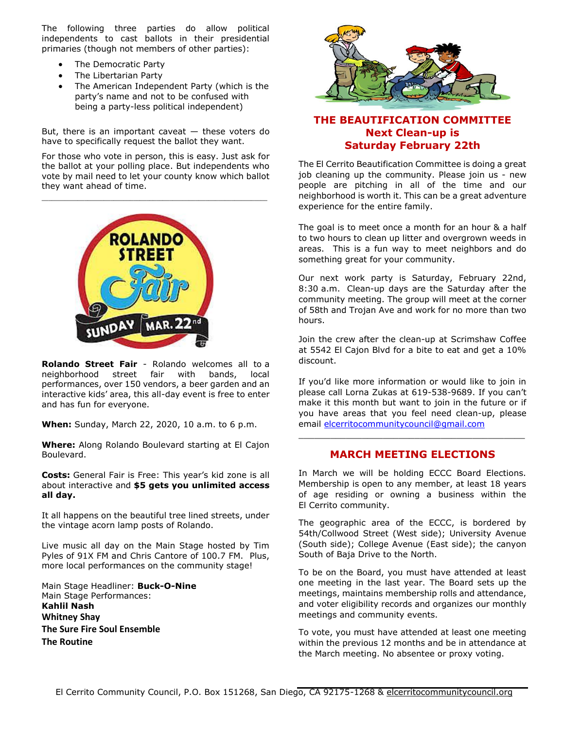The following three parties do allow political independents to cast ballots in their presidential primaries (though not members of other parties):

- The Democratic Party
- The Libertarian Party
- The American Independent Party (which is the party's name and not to be confused with being a party-less political independent)

But, there is an important caveat  $-$  these voters do have to specifically request the ballot they want.

For those who vote in person, this is easy. Just ask for the ballot at your polling place. But independents who vote by mail need to let your county know which ballot they want ahead of time.



**Rolando Street Fair** - Rolando welcomes all to a neighborhood street fair with bands, local performances, over 150 vendors, a beer garden and an interactive kids' area, this all-day event is free to enter and has fun for everyone.

**When:** Sunday, March 22, 2020, 10 a.m. to 6 p.m.

**Where:** Along Rolando Boulevard starting at El Cajon Boulevard.

**Costs:** General Fair is Free: This year's kid zone is all about interactive and **\$5 gets you unlimited access all day.**

It all happens on the beautiful tree lined streets, under the vintage acorn lamp posts of Rolando.

Live music all day on the Main Stage hosted by Tim Pyles of 91X FM and Chris Cantore of 100.7 FM. Plus, more local performances on the community stage!

Main Stage Headliner: **Buck-O-Nine** Main Stage Performances: **Kahlil Nash Whitney Shay The Sure Fire Soul Ensemble The Routine**



## **THE BEAUTIFICATION COMMITTEE Next Clean-up is Saturday February 22th**

The El Cerrito Beautification Committee is doing a great job cleaning up the community. Please join us - new people are pitching in all of the time and our neighborhood is worth it. This can be a great adventure experience for the entire family.

The goal is to meet once a month for an hour & a half to two hours to clean up litter and overgrown weeds in areas. This is a fun way to meet neighbors and do something great for your community.

Our next work party is Saturday, February 22nd, 8:30 a.m. Clean-up days are the Saturday after the community meeting. The group will meet at the corner of 58th and Trojan Ave and work for no more than two hours.

Join the crew after the clean-up at Scrimshaw Coffee at 5542 El Cajon Blvd for a bite to eat and get a 10% discount.

If you'd like more information or would like to join in please call Lorna Zukas at 619-538-9689. If you can't make it this month but want to join in the future or if you have areas that you feel need clean-up, please email [elcerritocommunitycouncil@gmail.com](mailto:elcerritocommunitycouncil@gmail.com)

### **MARCH MEETING ELECTIONS**

\_\_\_\_\_\_\_\_\_\_\_\_\_\_\_\_\_\_\_\_\_\_\_\_\_\_\_\_\_\_\_\_\_\_\_\_\_\_\_\_\_\_\_

In March we will be holding ECCC Board Elections. Membership is open to any member, at least 18 years of age residing or owning a business within the El Cerrito community.

The geographic area of the ECCC, is bordered by 54th/Collwood Street (West side); University Avenue (South side); College Avenue (East side); the canyon South of Baja Drive to the North.

To be on the Board, you must have attended at least one meeting in the last year. The Board sets up the meetings, maintains membership rolls and attendance, and voter eligibility records and organizes our monthly meetings and community events.

To vote, you must have attended at least one meeting within the previous 12 months and be in attendance at the March meeting. No absentee or proxy voting.